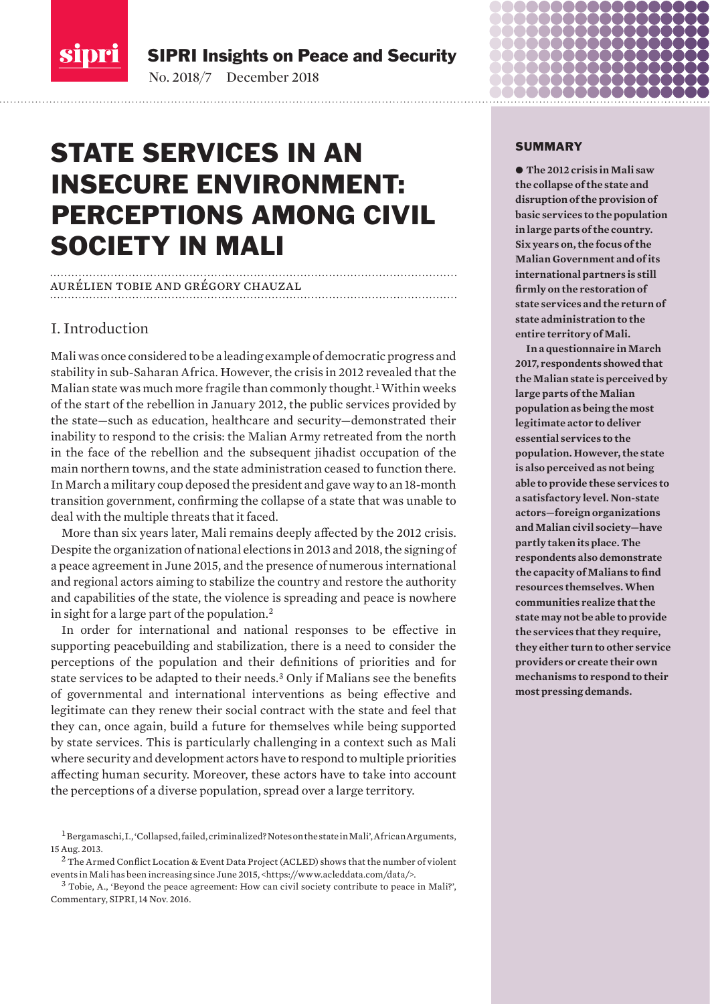<span id="page-0-0"></span>

SIPRI Insights on Peace and Security

No. 2018/7 December 2018

# STATE SERVICES IN AN INSECURE ENVIRONMENT: PERCEPTIONS AMONG CIVIL SOCIETY IN MALI

### aurélien tobie and grégory chauzal

## I. Introduction

Mali was once considered to be a leading example of democratic progress and stability in sub-Saharan Africa. However, the crisis in 2012 revealed that the Malian state was much more fragile than commonly thought.<sup>1</sup> Within weeks of the start of the rebellion in January 2012, the public services provided by the state—such as education, healthcare and security—demonstrated their inability to respond to the crisis: the Malian Army retreated from the north in the face of the rebellion and the subsequent jihadist occupation of the main northern towns, and the state administration ceased to function there. In March a military coup deposed the president and gave way to an 18-month transition government, confirming the collapse of a state that was unable to deal with the multiple threats that it faced.

More than six years later, Mali remains deeply affected by the 2012 crisis. Despite the organization of national elections in 2013 and 2018, the signing of a peace agreement in June 2015, and the presence of numerous international and regional actors aiming to stabilize the country and restore the authority and capabilities of the state, the violence is spreading and peace is nowhere in sight for a large part of the population.<sup>2</sup>

In order for international and national responses to be effective in supporting peacebuilding and stabilization, there is a need to consider the perceptions of the population and their definitions of priorities and for state services to be adapted to their needs.<sup>3</sup> Only if Malians see the benefits of governmental and international interventions as being effective and legitimate can they renew their social contract with the state and feel that they can, once again, build a future for themselves while being supported by state services. This is particularly challenging in a context such as Mali where security and development actors have to respond to multiple priorities affecting human security. Moreover, these actors have to take into account the perceptions of a diverse population, spread over a large territory.

### SUMMARY

● The 2012 crisis in Mali saw **the collapse of the state and disruption of the provision of basic services to the population in large parts of the country. Six years on, the focus of the Malian Government and of its international partners is still firmly on the restoration of state services and the return of state administration to the entire territory of Mali.** 

**In a questionnaire in March 2017, respondents showed that the Malian state is perceived by large parts of the Malian population as being the most legitimate actor to deliver essential services to the population. However, the state is also perceived as not being able to provide these services to a satisfactory level. Non-state actors—foreign organizations and Malian civil society—have partly taken its place. The respondents also demonstrate the capacity of Malians to find resources themselves. When communities realize that the state may not be able to provide the services that they require, they either turn to other service providers or create their own mechanisms to respond to their most pressing demands.** 

<sup>1</sup> Bergamaschi, I., '[Collapsed, failed, criminalized? Notes on the state in Mali](http://africanarguments.org/2013/08/15/collapsed-failed-criminalized-notes-on-the-state-in-mali-by-isaline-bergamaschi/)', African Arguments, 15 Aug. 2013.

 $^2$  The Armed Conflict Location & Event Data Project (ACLED) shows that the number of violent events in Mali has been increasing since June 2015, <https://www.acleddata.com/data/>.

<sup>3</sup> Tobie, A., '[Beyond the peace agreement: How can civil society contribute to peace in Mali?](https://www.sipri.org/commentary/essay/2016/beyond-peace-agreement-mali)', Commentary, SIPRI, 14 Nov. 2016.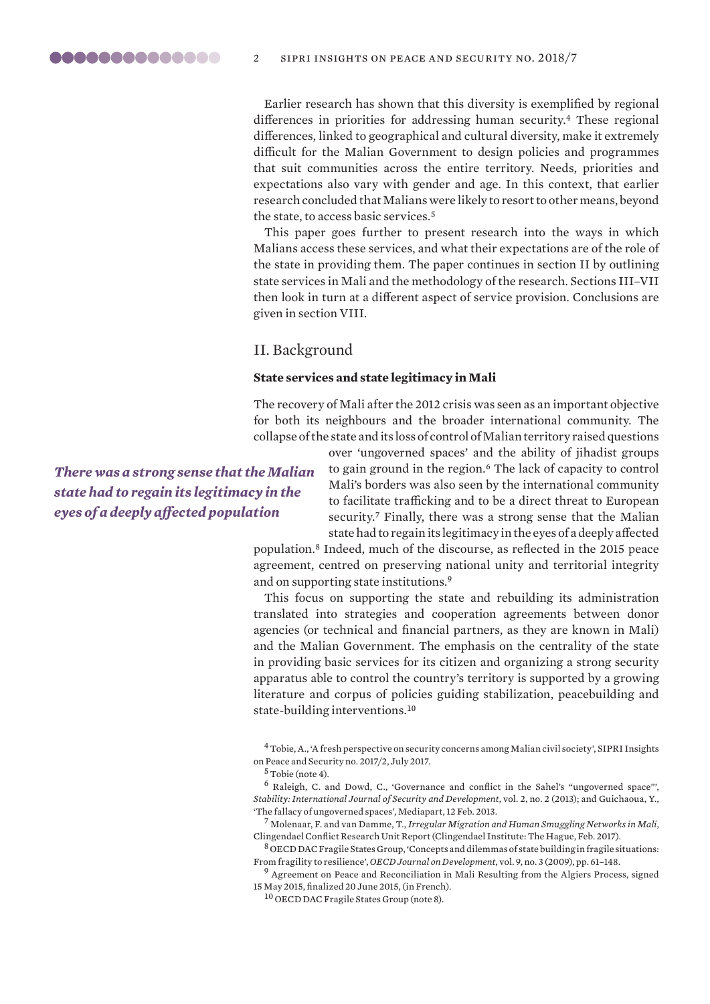<span id="page-1-0"></span>Earlier research has shown that this diversity is exemplified by regional differences in priorities for addressing human security.<sup>4</sup> These regional differences, linked to geographical and cultural diversity, make it extremely difficult for the Malian Government to design policies and programmes that suit communities across the entire territory. Needs, priorities and expectations also vary with gender and age. In this context, that earlier research concluded that Malians were likely to resort to other means, beyond the state, to access basic services.<sup>5</sup>

This paper goes further to present research into the ways in which Malians access these services, and what their expectations are of the role of the state in providing them. The paper continues in section II by outlining state services in Mali and the methodology of the research. Sections III–VII then look in turn at a different aspect of service provision. Conclusions are given in section VIII.

II. Background

### **State services and state legitimacy in Mali**

The recovery of Mali after the 2012 crisis was seen as an important objective for both its neighbours and the broader international community. The collapse of the state and its loss of control of Malian territory raised questions

> over 'ungoverned spaces' and the ability of jihadist groups to gain ground in the region.<sup>6</sup> The lack of capacity to control Mali's borders was also seen by the international community to facilitate trafficking and to be a direct threat to European security.<sup>7</sup> Finally, there was a strong sense that the Malian state had to regain its legitimacy in the eyes of a deeply affected

population.<sup>8</sup> Indeed, much of the discourse, as reflected in the 2015 peace agreement, centred on preserving national unity and territorial integrity and on supporting state institutions.<sup>9</sup>

This focus on supporting the state and rebuilding its administration translated into strategies and cooperation agreements between donor agencies (or technical and financial partners, as they are known in Mali) and the Malian Government. The emphasis on the centrality of the state in providing basic services for its citizen and organizing a strong security apparatus able to control the country's territory is supported by a growing literature and corpus of policies guiding stabilization, peacebuilding and state-building interventions.<sup>10</sup>

<sup>4</sup> Tobie, A., ['A fresh perspective on security concerns among Malian civil society'](https://www.sipri.org/publications/2017/sipri-insights-peace-and-security/fresh-perspective-security-concerns-among-malian-civil-society), SIPRI Insights on Peace and Security no. 2017/2, July 2017.

<sup>5</sup> Tobie (note 4).

<sup>6</sup> Raleigh, C. and Dowd, C., '[Governance and conflict in the Sahel's "ungoverned space"](http://dx.doi.org/10.5334/sta.bs)', *Stability: International Journal of Security and Development*, vol. 2, no. 2 (2013); and Guichaoua, Y., '[The fallacy of ungoverned spaces](https://blogs.mediapart.fr/yvan-guichaoua/blog/120213/mali-fallacy-ungoverned-spaces)', Mediapart, 12 Feb. 2013.

<sup>7</sup> Molenaar, F. and van Damme, T., *[Irregular Migration and Human Smuggling Networks in Mali](https://www.clingendael.org/sites/default/files/pdfs/irregular_migration_and_human_smuggling_networks_in_mali.pdf)*, Clingendael Conflict Research Unit Report (Clingendael Institute: The Hague, Feb. 2017).

<sup>8</sup> OECD DAC Fragile States Group, ['Concepts and dilemmas of state building in fragile situations:](https://doi.org/10.1787/journal_dev-v9-art27-en)  [From fragility to resilience'](https://doi.org/10.1787/journal_dev-v9-art27-en), *OECD Journal on Development*, vol. 9, no. 3 (2009), pp. 61–148.

<sup>9</sup> [Agreement on Peace and Reconciliation in Mali Resulting from the Algiers Process](https://photos.state.gov/libraries/mali/328671/peace-accord-translations/1-accord-paix-et-reconciliation-francais.pdf), signed 15 May 2015, finalized 20 June 2015, (in French).

<sup>10</sup> OECD DAC Fragile States Group (note 8).

*There was a strong sense that the Malian state had to regain its legitimacy in the eyes of a deeply affected population*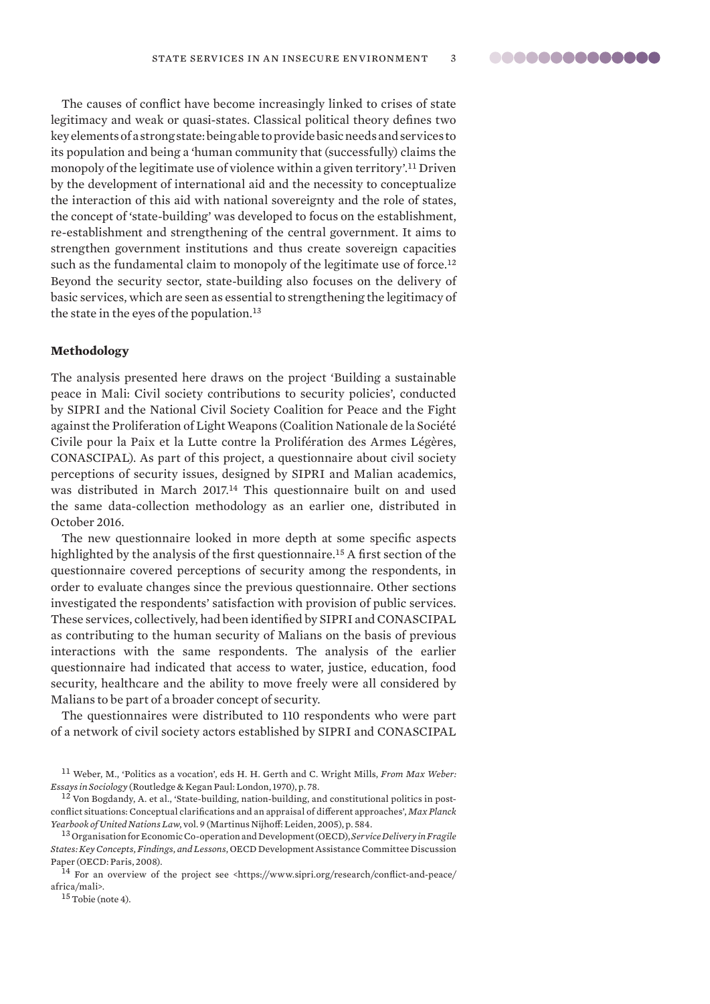<span id="page-2-0"></span>The causes of conflict have become increasingly linked to crises of state legitimacy and weak or quasi-states. Classical political theory defines two key elements of a strong state: being able to provide basic needs and services to its population and being a 'human community that (successfully) claims the monopoly of the legitimate use of violence within a given territory'.<sup>11</sup> Driven by the development of international aid and the necessity to conceptualize the interaction of this aid with national sovereignty and the role of states, the concept of 'state-building' was developed to focus on the establishment, re-establishment and strengthening of the central government. It aims to strengthen government institutions and thus create sovereign capacities such as the fundamental claim to monopoly of the legitimate use of force.<sup>12</sup> Beyond the security sector, state-building also focuses on the delivery of basic services, which are seen as essential to strengthening the legitimacy of the state in the eyes of the population.<sup>13</sup>

### **Methodology**

The analysis presented here draws on the project 'Building a sustainable peace in Mali: Civil society contributions to security policies', conducted by SIPRI and the National Civil Society Coalition for Peace and the Fight against the Proliferation of Light Weapons (Coalition Nationale de la Société Civile pour la Paix et la Lutte contre la Prolifération des Armes Légères, CONASCIPAL). As part of this project, a questionnaire about civil society perceptions of security issues, designed by SIPRI and Malian academics, was distributed in March 2017.<sup>14</sup> This questionnaire built on and used the same data-collection methodology as an earlier one, distributed in October 2016.

The new questionnaire looked in more depth at some specific aspects highlighted by the analysis of the first questionnaire.<sup>15</sup> A first section of the questionnaire covered perceptions of security among the respondents, in order to evaluate changes since the previous questionnaire. Other sections investigated the respondents' satisfaction with provision of public services. These services, collectively, had been identified by SIPRI and CONASCIPAL as contributing to the human security of Malians on the basis of previous interactions with the same respondents. The analysis of the earlier questionnaire had indicated that access to water, justice, education, food security, healthcare and the ability to move freely were all considered by Malians to be part of a broader concept of security.

The questionnaires were distributed to 110 respondents who were part of a network of civil society actors established by SIPRI and CONASCIPAL

 $15$  Tobie (note 4).

<sup>11</sup> Weber, M., 'Politics as a vocation', eds H. H. Gerth and C. Wright Mills, *From Max Weber: Essays in Sociology* (Routledge & Kegan Paul: London, 1970), p. 78.

<sup>12</sup> Von Bogdandy, A. et al., ['State-building, nation-building, and constitutional politics in post](http://www.mpil.de/files/pdf2/mpunyb_bogdandyua_9_579_613.pdf)[conflict situations: Conceptual clarifications and an appraisal of different approaches'](http://www.mpil.de/files/pdf2/mpunyb_bogdandyua_9_579_613.pdf), *Max Planck Yearbook of United Nations Law*, vol. 9 (Martinus Nijhoff: Leiden, 2005), p. 584.

<sup>13</sup> Organisation for Economic Co-operation and Development (OECD), *[Service Delivery in Fragile](http://www.oecd.org/dac/governance-peace/conflictfragilityandresilience/docs/40886707.pdf)  [States: Key Concepts, Findings, and Lessons](http://www.oecd.org/dac/governance-peace/conflictfragilityandresilience/docs/40886707.pdf)*, OECD Development Assistance Committee Discussion Paper (OECD: Paris, 2008).

<sup>&</sup>lt;sup>14</sup> For an overview of the project see <https://www.sipri.org/research/conflict-and-peace/ africa/mali>.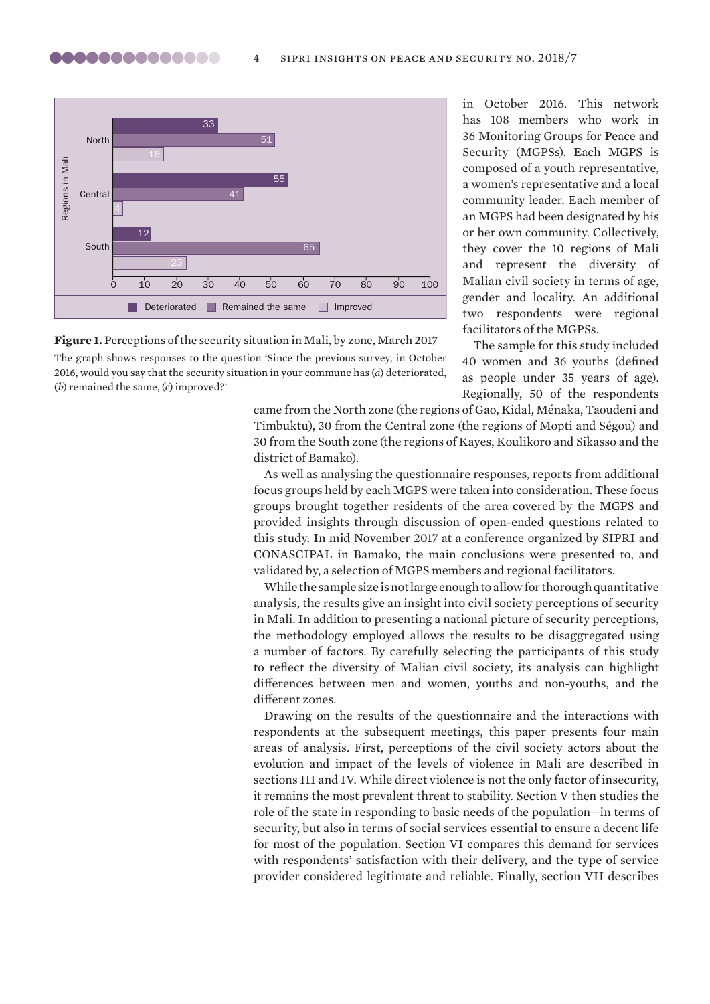

**Figure 1.** Perceptions of the security situation in Mali, by zone, March 2017

The graph shows responses to the question 'Since the previous survey, in October 2016, would you say that the security situation in your commune has (*a*) deteriorated, in October 2016. This network has 108 members who work in 36 Monitoring Groups for Peace and Security (MGPSs). Each MGPS is composed of a youth representative, a women's representative and a local community leader. Each member of an MGPS had been designated by his or her own community. Collectively, they cover the 10 regions of Mali and represent the diversity of Malian civil society in terms of age, gender and locality. An additional two respondents were regional facilitators of the MGPSs.

The sample for this study included 40 women and 36 youths (defined as people under 35 years of age). Regionally, 50 of the respondents

came from the North zone (the regions of Gao, Kidal, Ménaka, Taoudeni and Timbuktu), 30 from the Central zone (the regions of Mopti and Ségou) and 30 from the South zone (the regions of Kayes, Koulikoro and Sikasso and the district of Bamako).

As well as analysing the questionnaire responses, reports from additional focus groups held by each MGPS were taken into consideration. These focus groups brought together residents of the area covered by the MGPS and provided insights through discussion of open-ended questions related to this study. In mid November 2017 at a conference organized by SIPRI and CONASCIPAL in Bamako, the main conclusions were presented to, and validated by, a selection of MGPS members and regional facilitators.

While the sample size is not large enough to allow for thorough quantitative analysis, the results give an insight into civil society perceptions of security in Mali. In addition to presenting a national picture of security perceptions, the methodology employed allows the results to be disaggregated using a number of factors. By carefully selecting the participants of this study to reflect the diversity of Malian civil society, its analysis can highlight differences between men and women, youths and non-youths, and the different zones.

Drawing on the results of the questionnaire and the interactions with respondents at the subsequent meetings, this paper presents four main areas of analysis. First, perceptions of the civil society actors about the evolution and impact of the levels of violence in Mali are described in sections III and IV. While direct violence is not the only factor of insecurity, it remains the most prevalent threat to stability. Section V then studies the role of the state in responding to basic needs of the population—in terms of security, but also in terms of social services essential to ensure a decent life for most of the population. Section VI compares this demand for services with respondents' satisfaction with their delivery, and the type of service provider considered legitimate and reliable. Finally, section VII describes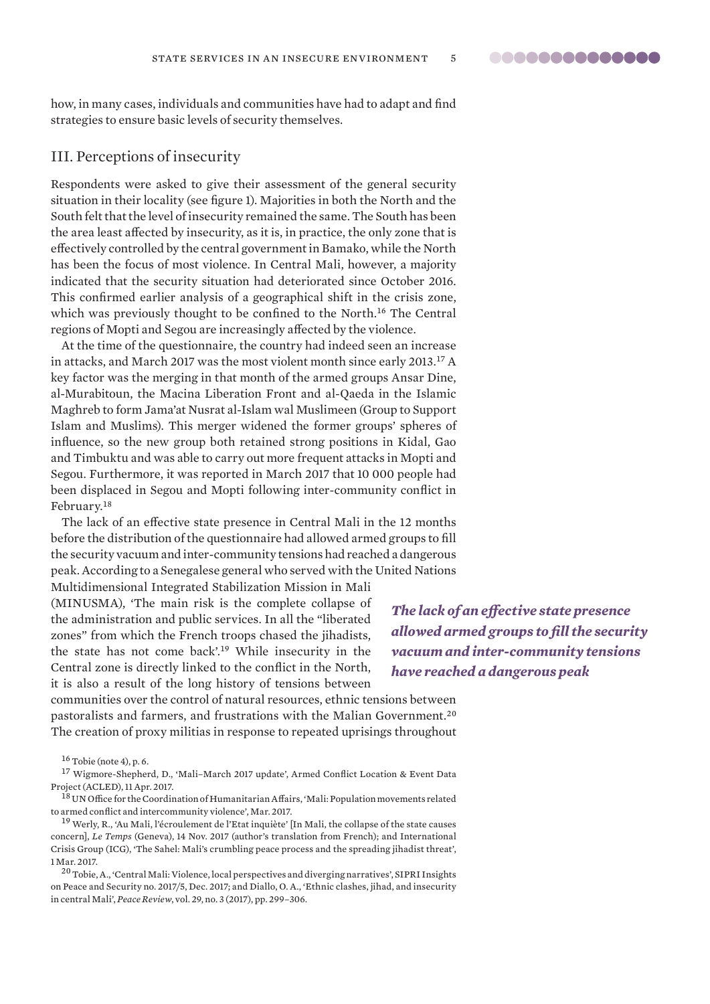88888888888888

<span id="page-4-0"></span>how, in many cases, individuals and communities have had to adapt and find strategies to ensure basic levels of security themselves.

### III. Perceptions of insecurity

Respondents were asked to give their assessment of the general security situation in their locality (see figure 1). Majorities in both the North and the South felt that the level of insecurity remained the same. The South has been the area least affected by insecurity, as it is, in practice, the only zone that is effectively controlled by the central government in Bamako, while the North has been the focus of most violence. In Central Mali, however, a majority indicated that the security situation had deteriorated since October 2016. This confirmed earlier analysis of a geographical shift in the crisis zone, which was previously thought to be confined to the North.<sup>16</sup> The Central regions of Mopti and Segou are increasingly affected by the violence.

At the time of the questionnaire, the country had indeed seen an increase in attacks, and March 2017 was the most violent month since early 2013.<sup>17</sup> A key factor was the merging in that month of the armed groups Ansar Dine, al-Murabitoun, the Macina Liberation Front and al-Qaeda in the Islamic Maghreb to form Jama'at Nusrat al-Islam wal Muslimeen (Group to Support Islam and Muslims). This merger widened the former groups' spheres of influence, so the new group both retained strong positions in Kidal, Gao and Timbuktu and was able to carry out more frequent attacks in Mopti and Segou. Furthermore, it was reported in March 2017 that 10 000 people had been displaced in Segou and Mopti following inter-community conflict in February.<sup>18</sup>

The lack of an effective state presence in Central Mali in the 12 months before the distribution of the questionnaire had allowed armed groups to fill the security vacuum and inter-community tensions had reached a dangerous peak. According to a Senegalese general who served with the United Nations

Multidimensional Integrated Stabilization Mission in Mali (MINUSMA), 'The main risk is the complete collapse of the administration and public services. In all the "liberated zones" from which the French troops chased the jihadists, the state has not come back'.<sup>19</sup> While insecurity in the Central zone is directly linked to the conflict in the North, it is also a result of the long history of tensions between

*The lack of an effective state presence allowed armed groups to fill the security vacuum and inter-community tensions have reached a dangerous peak*

communities over the control of natural resources, ethnic tensions between pastoralists and farmers, and frustrations with the Malian Government.<sup>20</sup> The creation of proxy militias in response to repeated uprisings throughout

<sup>17</sup> Wigmore-Shepherd, D., '[Mali–March 2017 update'](http://www.crisis.acleddata.com/mali-march-2017-update/), Armed Conflict Location & Event Data Project (ACLED), 11 Apr. 2017.

<sup>18</sup> UN Office for the Coordination of Humanitarian Affairs, 'Mali: Population movements related [to armed conflict and intercommunity violence](https://reliefweb.int/sites/reliefweb.int/files/resources/mali_snapshot_en_20170407_0.pdf)', Mar. 2017.

<sup>19</sup> Werly, R., ['Au Mali, l'écroulement de l'Etat inquiète'](https://www.letemps.ch/monde/2017/11/14/mali-lecroulement-letat-inquiete) [In Mali, the collapse of the state causes concern], *Le Temps* (Geneva), 14 Nov. 2017 (author's translation from French); and International Crisis Group (ICG), '[The Sahel: Mali's crumbling peace process and the spreading jihadist threat](https://www.crisisgroup.org/africa/west-africa/mali/sahel-malis-crumbling-peace-process-and-spreading-jihadist-threat)', 1 Mar. 2017.

<sup>20</sup> Tobie, A., ['Central Mali: Violence, local perspectives and diverging narratives'](https://www.sipri.org/sites/default/files/2018-02/sipriinsight_1713_mali_3_eng.pdf), SIPRI Insights on Peace and Security no. 2017/5, Dec. 2017; and Diallo, O. A., ['Ethnic clashes, jihad, and insecurity](https://doi.org/10.1080/10402659.2017.1344529)  [in central Mali'](https://doi.org/10.1080/10402659.2017.1344529), *Peace Review*, vol. 29, no. 3 (2017), pp. 299–306.

<sup>16</sup> Tobie (note 4), p. 6.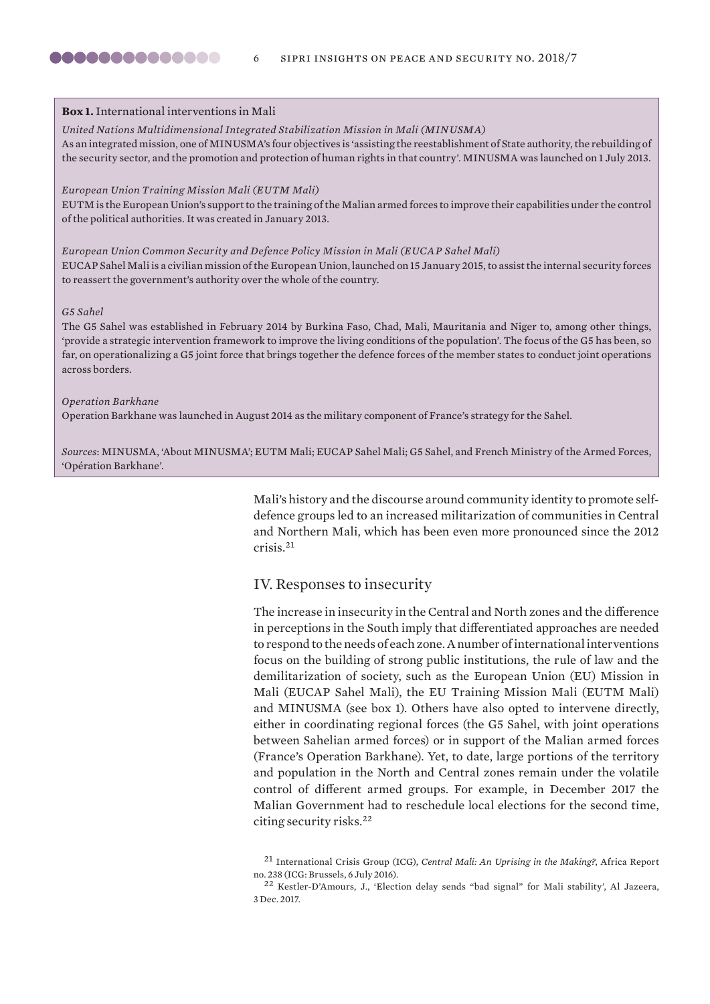### <span id="page-5-0"></span>**Box 1.** International interventions in Mali

#### *United Nations Multidimensional Integrated Stabilization Mission in Mali (MINUSMA)*

As an integrated mission, one of MINUSMA's four objectives is 'assisting the reestablishment of State authority, the rebuilding of the security sector, and the promotion and protection of human rights in that country'. MINUSMA was launched on 1 July 2013.

### *European Union Training Mission Mali (EUTM Mali)*

EUTM is the European Union's support to the training of the Malian armed forces to improve their capabilities under the control of the political authorities. It was created in January 2013.

*European Union Common Security and Defence Policy Mission in Mali (EUCAP Sahel Mali)* EUCAP Sahel Mali is a civilian mission of the European Union, launched on 15 January 2015, to assist the internal security forces to reassert the government's authority over the whole of the country.

### *G5 Sahel*

The G5 Sahel was established in February 2014 by Burkina Faso, Chad, Mali, Mauritania and Niger to, among other things, 'provide a strategic intervention framework to improve the living conditions of the population'. The focus of the G5 has been, so far, on operationalizing a G5 joint force that brings together the defence forces of the member states to conduct joint operations across borders.

### *Operation Barkhane*

Operation Barkhane was launched in August 2014 as the military component of France's strategy for the Sahel.

*Sources*: MINUSMA, ['About MINUSMA](https://minusma.unmissions.org/en/about-minusma)'; [EUTM Mali;](http://eutmmali.eu/en/eutm-mali-mission/) [EUCAP Sahel Mali;](https://eeas.europa.eu/csdp-missions-operations/eucap-sahel-mali_fr) [G5 Sahel](https://g5sahel.org), and French Ministry of the Armed Forces, '[Opération Barkhane'](https://www.defense.gouv.fr/operations/barkhane/dossier-de-presentation/operation-barkhane).

> Mali's history and the discourse around community identity to promote selfdefence groups led to an increased militarization of communities in Central and Northern Mali, which has been even more pronounced since the 2012 crisis.<sup>21</sup>

### IV. Responses to insecurity

The increase in insecurity in the Central and North zones and the difference in perceptions in the South imply that differentiated approaches are needed to respond to the needs of each zone. A number of international interventions focus on the building of strong public institutions, the rule of law and the demilitarization of society, such as the European Union (EU) Mission in Mali (EUCAP Sahel Mali), the EU Training Mission Mali (EUTM Mali) and MINUSMA (see box 1). Others have also opted to intervene directly, either in coordinating regional forces (the G5 Sahel, with joint operations between Sahelian armed forces) or in support of the Malian armed forces (France's Operation Barkhane). Yet, to date, large portions of the territory and population in the North and Central zones remain under the volatile control of different armed groups. For example, in December 2017 the Malian Government had to reschedule local elections for the second time, citing security risks.<sup>22</sup>

<sup>21</sup> International Crisis Group (ICG), *[Central Mali: An Uprising in the Making?](https://www.crisisgroup.org/africa/west-africa/mali/central-mali-uprising-making)*, Africa Report no. 238 (ICG: Brussels, 6 July 2016).

<sup>22</sup> Kestler-D'Amours, J., '[Election delay sends "bad signal" for Mali stability](http://www.aljazeera.com/amp/news/2017/11/election-delay-sends-bad-signal-mali-stability-171128152200930.html)', Al Jazeera, 3 Dec. 2017.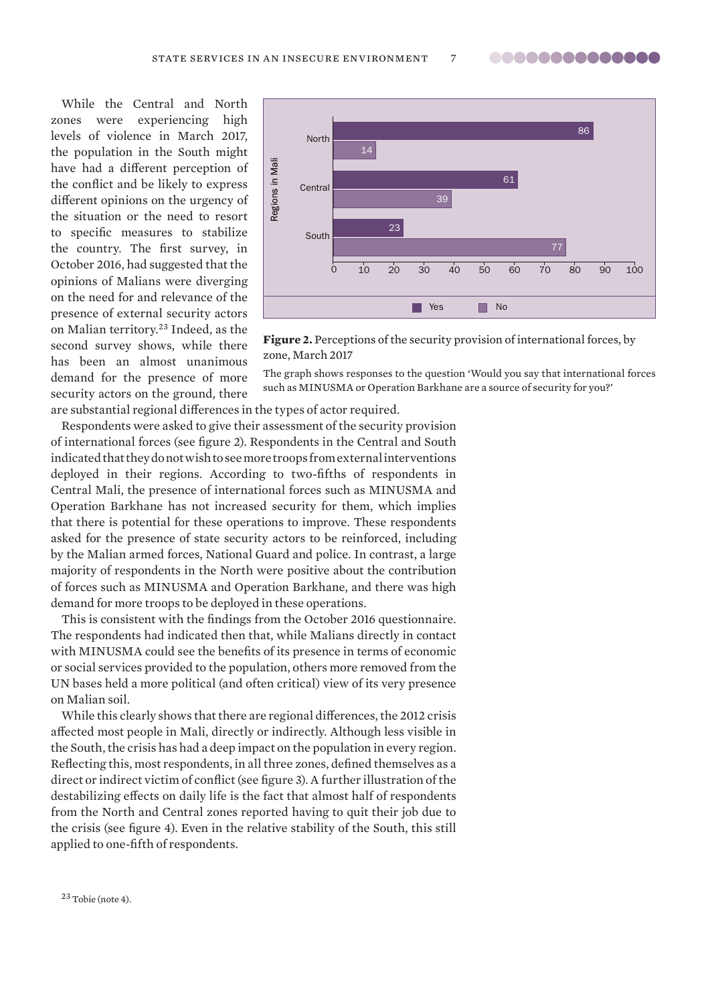While the Central and North zones were experiencing high levels of violence in March 2017, the population in the South might have had a different perception of the conflict and be likely to express different opinions on the urgency of the situation or the need to resort to specific measures to stabilize the country. The first survey, in October 2016, had suggested that the opinions of Malians were diverging on the need for and relevance of the presence of external security actors on Malian territory.<sup>23</sup> Indeed, as the second survey shows, while there has been an almost unanimous demand for the presence of more security actors on the ground, there



**Figure 2.** Perceptions of the security provision of international forces, by zone, March 2017

The graph shows responses to the question 'Would you say that international forces such as MINUSMA or Operation Barkhane are a source of security for you?'

are substantial regional differences in the types of actor required.

Respondents were asked to give their assessment of the security provision of international forces (see figure 2). Respondents in the Central and South indicated that they do not wish to see more troops from external interventions deployed in their regions. According to two-fifths of respondents in Central Mali, the presence of international forces such as MINUSMA and Operation Barkhane has not increased security for them, which implies that there is potential for these operations to improve. These respondents asked for the presence of state security actors to be reinforced, including by the Malian armed forces, National Guard and police. In contrast, a large majority of respondents in the North were positive about the contribution of forces such as MINUSMA and Operation Barkhane, and there was high demand for more troops to be deployed in these operations.

This is consistent with the findings from the October 2016 questionnaire. The respondents had indicated then that, while Malians directly in contact with MINUSMA could see the benefits of its presence in terms of economic or social services provided to the population, others more removed from the UN bases held a more political (and often critical) view of its very presence on Malian soil.

While this clearly shows that there are regional differences, the 2012 crisis affected most people in Mali, directly or indirectly. Although less visible in the South, the crisis has had a deep impact on the population in every region. Reflecting this, most respondents, in all three zones, defined themselves as a direct or indirect victim of conflict (see figure 3). A further illustration of the destabilizing effects on daily life is the fact that almost half of respondents from the North and Central zones reported having to quit their job due to the crisis (see figure 4). Even in the relative stability of the South, this still applied to one-fifth of respondents.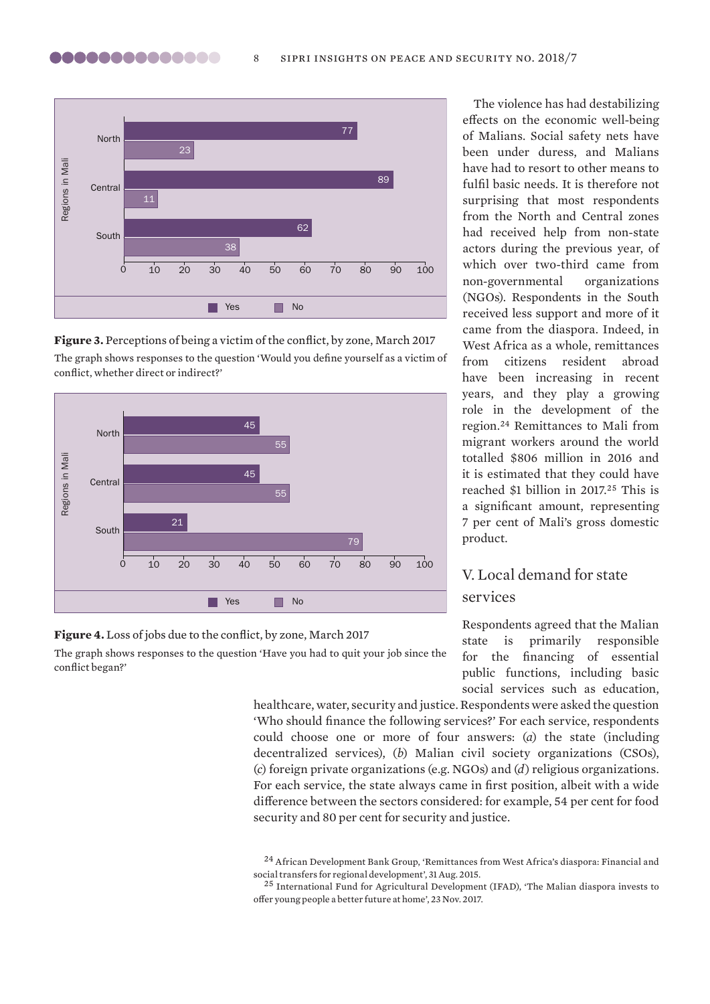

**Figure 3.** Perceptions of being a victim of the conflict, by zone, March 2017 The graph shows responses to the question 'Would you define yourself as a victim of conflict, whether direct or indirect?'



### **Figure 4.** Loss of jobs due to the conflict, by zone, March 2017

The graph shows responses to the question 'Have you had to quit your job since the conflict began?'

The violence has had destabilizing effects on the economic well-being of Malians. Social safety nets have been under duress, and Malians have had to resort to other means to fulfil basic needs. It is therefore not surprising that most respondents from the North and Central zones had received help from non-state actors during the previous year, of which over two-third came from non-governmental organizations (NGOs). Respondents in the South received less support and more of it came from the diaspora. Indeed, in West Africa as a whole, remittances from citizens resident abroad have been increasing in recent years, and they play a growing role in the development of the region.<sup>24</sup> Remittances to Mali from migrant workers around the world totalled \$806 million in 2016 and it is estimated that they could have reached \$1 billion in 2017.<sup>25</sup> This is a significant amount, representing 7 per cent of Mali's gross domestic product.

# V. Local demand for state services

Respondents agreed that the Malian state is primarily responsible for the financing of essential public functions, including basic social services such as education,

healthcare, water, security and justice. Respondents were asked the question 'Who should finance the following services?' For each service, respondents could choose one or more of four answers: (*a*) the state (including decentralized services), (*b*) Malian civil society organizations (CSOs), (*c*) foreign private organizations (e.g. NGOs) and (*d*) religious organizations. For each service, the state always came in first position, albeit with a wide difference between the sectors considered: for example, 54 per cent for food security and 80 per cent for security and justice.

<sup>24</sup> African Development Bank Group, ['Remittances from West Africa's diaspora: Financial and](https://www.afdb.org/en/blogs/measuring-the-pulse-of-economic-transformation-in-west-africa/post/remittances-from-west-africas-diaspora-financial-and-social-transfers-for-regional-development-14614/)  [social transfers for regional development](https://www.afdb.org/en/blogs/measuring-the-pulse-of-economic-transformation-in-west-africa/post/remittances-from-west-africas-diaspora-financial-and-social-transfers-for-regional-development-14614/)', 31 Aug. 2015.

<sup>25</sup> International Fund for Agricultural Development (IFAD), '[The Malian diaspora invests to](https://www.ifad.org/web/latest/story/asset/39640148)  [offer young people a better future at home'](https://www.ifad.org/web/latest/story/asset/39640148), 23 Nov. 2017.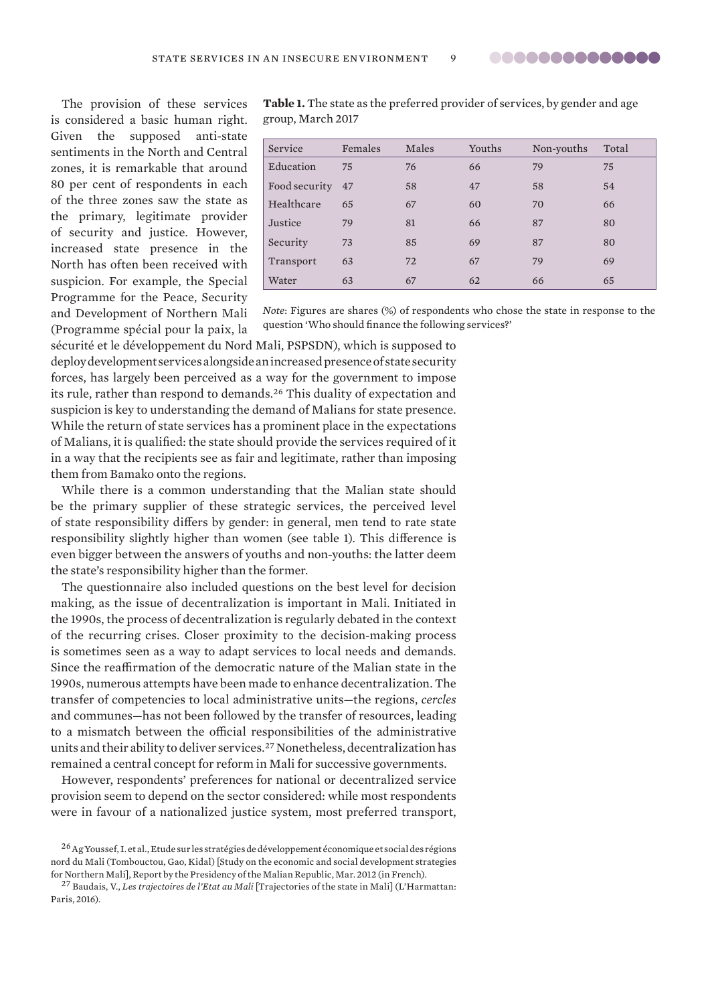..............

<span id="page-8-0"></span>The provision of these services is considered a basic human right. Given the supposed anti-state sentiments in the North and Central zones, it is remarkable that around 80 per cent of respondents in each of the three zones saw the state as the primary, legitimate provider of security and justice. However, increased state presence in the North has often been received with suspicion. For example, the Special Programme for the Peace, Security and Development of Northern Mali (Programme spécial pour la paix, la **Table 1.** The state as the preferred provider of services, by gender and age group, March 2017

| Service       | Females | Males | Youths | Non-youths | Total |
|---------------|---------|-------|--------|------------|-------|
| Education     | 75      | 76    | 66     | 79         | 75    |
| Food security | 47      | 58    | 47     | 58         | 54    |
| Healthcare    | 65      | 67    | 60     | 70         | 66    |
| Justice       | 79      | 81    | 66     | 87         | 80    |
| Security      | 73      | 85    | 69     | 87         | 80    |
| Transport     | 63      | 72    | 67     | 79         | 69    |
| Water         | 63      | 67    | 62     | 66         | 65    |

*Note*: Figures are shares (%) of respondents who chose the state in response to the question 'Who should finance the following services?'

sécurité et le développement du Nord Mali, PSPSDN), which is supposed to deploy development services alongside an increased presence of state security forces, has largely been perceived as a way for the government to impose its rule, rather than respond to demands.<sup>26</sup> This duality of expectation and suspicion is key to understanding the demand of Malians for state presence. While the return of state services has a prominent place in the expectations of Malians, it is qualified: the state should provide the services required of it in a way that the recipients see as fair and legitimate, rather than imposing them from Bamako onto the regions.

While there is a common understanding that the Malian state should be the primary supplier of these strategic services, the perceived level of state responsibility differs by gender: in general, men tend to rate state responsibility slightly higher than women (see table 1). This difference is even bigger between the answers of youths and non-youths: the latter deem the state's responsibility higher than the former.

The questionnaire also included questions on the best level for decision making, as the issue of decentralization is important in Mali. Initiated in the 1990s, the process of decentralization is regularly debated in the context of the recurring crises. Closer proximity to the decision-making process is sometimes seen as a way to adapt services to local needs and demands. Since the reaffirmation of the democratic nature of the Malian state in the 1990s, numerous attempts have been made to enhance decentralization. The transfer of competencies to local administrative units—the regions, *cercles* and communes—has not been followed by the transfer of resources, leading to a mismatch between the official responsibilities of the administrative units and their ability to deliver services.<sup>27</sup> Nonetheless, decentralization has remained a central concept for reform in Mali for successive governments.

However, respondents' preferences for national or decentralized service provision seem to depend on the sector considered: while most respondents were in favour of a nationalized justice system, most preferred transport,

<sup>&</sup>lt;sup>26</sup> Ag Youssef, I. et al., Etude sur les stratégies de développement économique et social des régions nord du Mali (Tombouctou, Gao, Kidal) [Study on the economic and social development strategies for Northern Mali], Report by the Presidency of the Malian Republic, Mar. 2012 (in French).

<sup>27</sup> Baudais, V., *Les trajectoires de l'Etat au Mali* [Trajectories of the state in Mali] (L'Harmattan: Paris, 2016).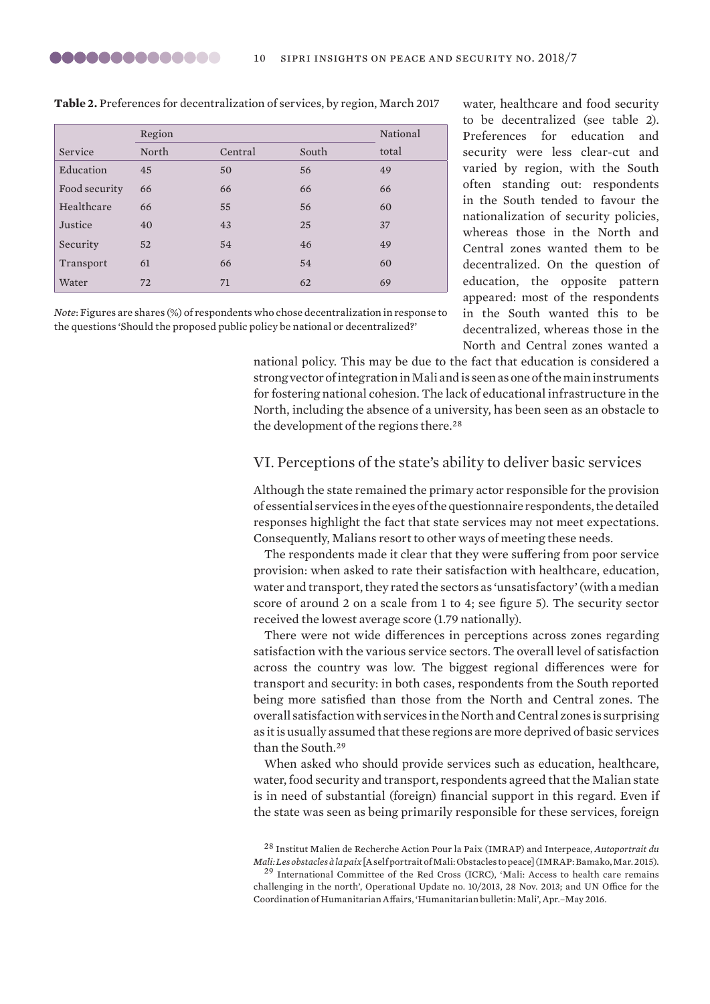|               | Region |         |       | National |
|---------------|--------|---------|-------|----------|
| Service       | North  | Central | South | total    |
| Education     | 45     | 50      | 56    | 49       |
| Food security | 66     | 66      | 66    | 66       |
| Healthcare    | 66     | 55      | 56    | 60       |
| Justice       | 40     | 43      | 25    | 37       |
| Security      | 52     | 54      | 46    | 49       |
| Transport     | 61     | 66      | 54    | 60       |
| Water         | 72     | 71      | 62    | 69       |

**Table 2.** Preferences for decentralization of services, by region, March 2017

*Note*: Figures are shares (%) of respondents who chose decentralization in response to the questions 'Should the proposed public policy be national or decentralized?'

water, healthcare and food security to be decentralized (see table 2). Preferences for education and security were less clear-cut and varied by region, with the South often standing out: respondents in the South tended to favour the nationalization of security policies, whereas those in the North and Central zones wanted them to be decentralized. On the question of education, the opposite pattern appeared: most of the respondents in the South wanted this to be decentralized, whereas those in the North and Central zones wanted a

national policy. This may be due to the fact that education is considered a strong vector of integration in Mali and is seen as one of the main instruments for fostering national cohesion. The lack of educational infrastructure in the North, including the absence of a university, has been seen as an obstacle to the development of the regions there.<sup>28</sup>

### VI. Perceptions of the state's ability to deliver basic services

Although the state remained the primary actor responsible for the provision of essential services in the eyes of the questionnaire respondents, the detailed responses highlight the fact that state services may not meet expectations. Consequently, Malians resort to other ways of meeting these needs.

The respondents made it clear that they were suffering from poor service provision: when asked to rate their satisfaction with healthcare, education, water and transport, they rated the sectors as 'unsatisfactory' (with a median score of around 2 on a scale from 1 to 4; see figure 5). The security sector received the lowest average score (1.79 nationally).

There were not wide differences in perceptions across zones regarding satisfaction with the various service sectors. The overall level of satisfaction across the country was low. The biggest regional differences were for transport and security: in both cases, respondents from the South reported being more satisfied than those from the North and Central zones. The overall satisfaction with services in the North and Central zones is surprising as it is usually assumed that these regions are more deprived of basic services than the South.<sup>29</sup>

When asked who should provide services such as education, healthcare, water, food security and transport, respondents agreed that the Malian state is in need of substantial (foreign) financial support in this regard. Even if the state was seen as being primarily responsible for these services, foreign

<sup>28</sup> Institut Malien de Recherche Action Pour la Paix (IMRAP) and Interpeace, *[Autoportrait du](https://www.humanitarianresponse.info/sites/www.humanitarianresponse.info/files/documents/files/imrap_-_paix_au_mali.pdf)  [Mali: Les obstacles à la paix](https://www.humanitarianresponse.info/sites/www.humanitarianresponse.info/files/documents/files/imrap_-_paix_au_mali.pdf)* [A self portrait of Mali: Obstacles to peace] (IMRAP: Bamako, Mar. 2015).

<sup>29</sup> International Committee of the Red Cross (ICRC), '[Mali: Access to health care remains](https://www.icrc.org/eng/resources/documents/update/2013/11-28-mali-health-care-in-danger.htm)  [challenging in the north'](https://www.icrc.org/eng/resources/documents/update/2013/11-28-mali-health-care-in-danger.htm), Operational Update no. 10/2013, 28 Nov. 2013; and UN Office for the Coordination of Humanitarian Affairs, '[Humanitarian bulletin: Mali](https://reliefweb.int/sites/reliefweb.int/files/resources/BulletinHumanitaire_Mali_20160531_EN.pdf)', Apr.–May 2016.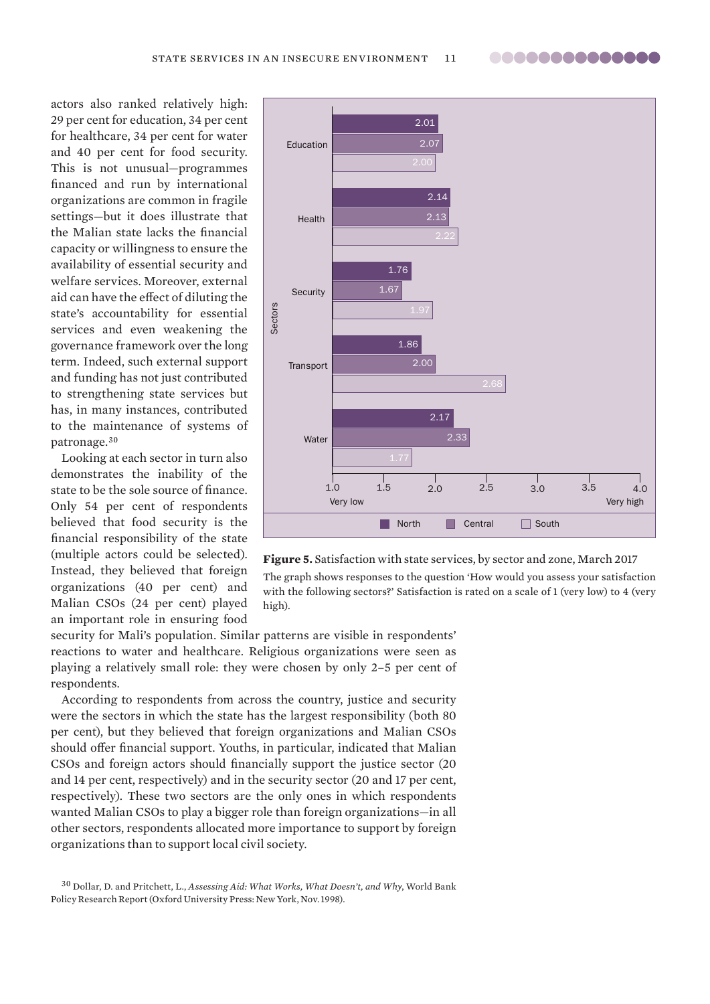**00000000000000** 

actors also ranked relatively high: 29 per cent for education, 34 per cent for healthcare, 34 per cent for water and 40 per cent for food security. This is not unusual—programmes financed and run by international organizations are common in fragile settings—but it does illustrate that the Malian state lacks the financial capacity or willingness to ensure the availability of essential security and welfare services. Moreover, external aid can have the effect of diluting the state's accountability for essential services and even weakening the governance framework over the long term. Indeed, such external support and funding has not just contributed to strengthening state services but has, in many instances, contributed to the maintenance of systems of patronage.<sup>30</sup>

Looking at each sector in turn also demonstrates the inability of the state to be the sole source of finance. Only 54 per cent of respondents believed that food security is the financial responsibility of the state (multiple actors could be selected). Instead, they believed that foreign organizations (40 per cent) and Malian CSOs (24 per cent) played an important role in ensuring food





security for Mali's population. Similar patterns are visible in respondents' reactions to water and healthcare. Religious organizations were seen as playing a relatively small role: they were chosen by only 2–5 per cent of respondents.

According to respondents from across the country, justice and security were the sectors in which the state has the largest responsibility (both 80 per cent), but they believed that foreign organizations and Malian CSOs should offer financial support. Youths, in particular, indicated that Malian CSOs and foreign actors should financially support the justice sector (20 and 14 per cent, respectively) and in the security sector (20 and 17 per cent, respectively). These two sectors are the only ones in which respondents wanted Malian CSOs to play a bigger role than foreign organizations—in all other sectors, respondents allocated more importance to support by foreign organizations than to support local civil society.

<sup>30</sup> Dollar, D. and Pritchett, L., *[Assessing Aid: What Works, What Doesn't, and Why](http://documents.worldbank.org/curated/en/612481468764422935/pdf/multi-page.pdf)*, World Bank Policy Research Report (Oxford University Press: New York, Nov. 1998).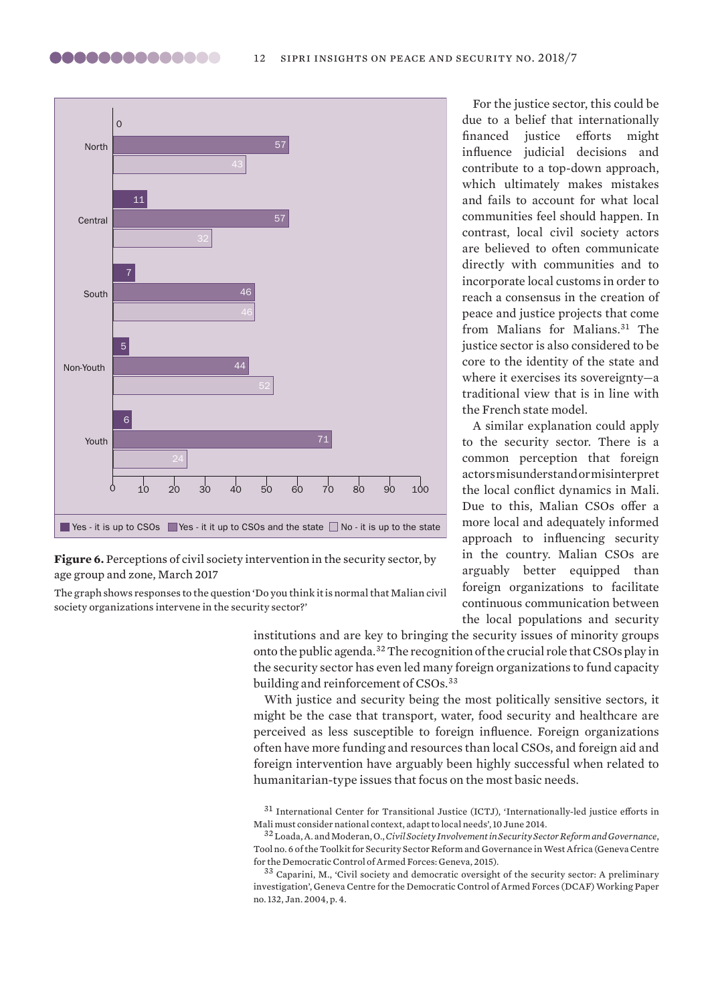

### **Figure 6.** Perceptions of civil society intervention in the security sector, by age group and zone, March 2017

The graph shows responses to the question 'Do you think it is normal that Malian civil society organizations intervene in the security sector?'

> institutions and are key to bringing the security issues of minority groups onto the public agenda.<sup>32</sup> The recognition of the crucial role that CSOs play in the security sector has even led many foreign organizations to fund capacity building and reinforcement of CSOs.<sup>33</sup>

> With justice and security being the most politically sensitive sectors, it might be the case that transport, water, food security and healthcare are perceived as less susceptible to foreign influence. Foreign organizations often have more funding and resources than local CSOs, and foreign aid and foreign intervention have arguably been highly successful when related to humanitarian-type issues that focus on the most basic needs.

> <sup>31</sup> International Center for Transitional Justice (ICTJ), '[Internationally-led justice efforts in](https://www.ictj.org/news/internationally-led-justice-efforts-mali)  [Mali must consider national context, adapt to local needs'](https://www.ictj.org/news/internationally-led-justice-efforts-mali), 10 June 2014.

For the justice sector, this could be due to a belief that internationally financed justice efforts might influence judicial decisions and contribute to a top-down approach, which ultimately makes mistakes and fails to account for what local communities feel should happen. In contrast, local civil society actors are believed to often communicate directly with communities and to incorporate local customs in order to reach a consensus in the creation of peace and justice projects that come from Malians for Malians.<sup>31</sup> The justice sector is also considered to be core to the identity of the state and where it exercises its sovereignty—a traditional view that is in line with the French state model.

A similar explanation could apply to the security sector. There is a common perception that foreign actors misunderstand or misinterpret the local conflict dynamics in Mali. Due to this, Malian CSOs offer a more local and adequately informed approach to influencing security in the country. Malian CSOs are arguably better equipped than foreign organizations to facilitate continuous communication between the local populations and security

<sup>32</sup> Loada, A. and Moderan, O., *[Civil Society Involvement in Security Sector Reform and Governance](http://issat.dcaf.ch/download/104807/1875874/SSRG-West-Africa-Toolkit-Tool-6-EN.pdf)*, Tool no. 6 of the Toolkit for Security Sector Reform and Governance in West Africa (Geneva Centre for the Democratic Control of Armed Forces: Geneva, 2015).

<sup>33</sup> Caparini, M., '[Civil society and democratic oversight of the security sector: A preliminary](http://iskran.ru/cd_data/disk2/rr/030.pdf)  [investigation](http://iskran.ru/cd_data/disk2/rr/030.pdf)', Geneva Centre for the Democratic Control of Armed Forces (DCAF) Working Paper no. 132, Jan. 2004, p. 4.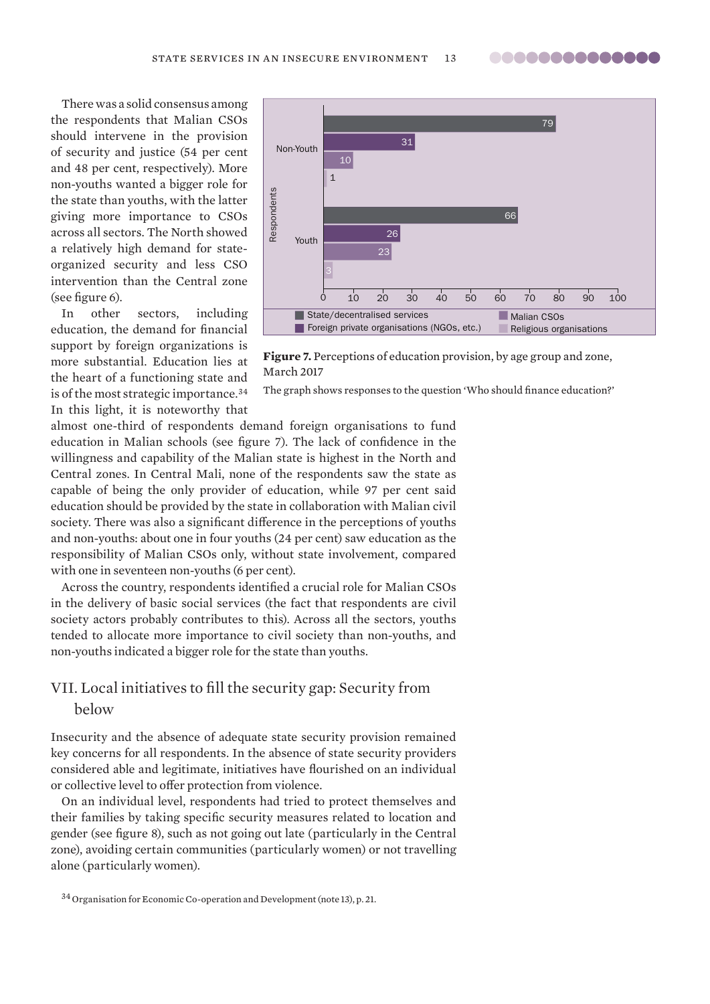**00000000000000** 

There was a solid consensus among the respondents that Malian CSOs should intervene in the provision of security and justice (54 per cent and 48 per cent, respectively). More non-youths wanted a bigger role for the state than youths, with the latter giving more importance to CSOs across all sectors. The North showed a relatively high demand for stateorganized security and less CSO intervention than the Central zone (see figure 6).

In other sectors, including education, the demand for financial support by foreign organizations is more substantial. Education lies at the heart of a functioning state and is of the most strategic importance.<sup>34</sup> In this light, it is noteworthy that



**Figure 7.** Perceptions of education provision, by age group and zone, March 2017

The graph shows responses to the question 'Who should finance education?'

almost one-third of respondents demand foreign organisations to fund education in Malian schools (see figure 7). The lack of confidence in the willingness and capability of the Malian state is highest in the North and Central zones. In Central Mali, none of the respondents saw the state as capable of being the only provider of education, while 97 per cent said education should be provided by the state in collaboration with Malian civil society. There was also a significant difference in the perceptions of youths and non-youths: about one in four youths (24 per cent) saw education as the responsibility of Malian CSOs only, without state involvement, compared with one in seventeen non-youths (6 per cent).

Across the country, respondents identified a crucial role for Malian CSOs in the delivery of basic social services (the fact that respondents are civil society actors probably contributes to this). Across all the sectors, youths tended to allocate more importance to civil society than non-youths, and non-youths indicated a bigger role for the state than youths.

# VII. Local initiatives to fill the security gap: Security from below

Insecurity and the absence of adequate state security provision remained key concerns for all respondents. In the absence of state security providers considered able and legitimate, initiatives have flourished on an individual or collective level to offer protection from violence.

On an individual level, respondents had tried to protect themselves and their families by taking specific security measures related to location and gender (see figure 8), such as not going out late (particularly in the Central zone), avoiding certain communities (particularly women) or not travelling alone (particularly women).

<sup>34</sup> Organisation for Economic Co-operation and Development (note 13), p. 21.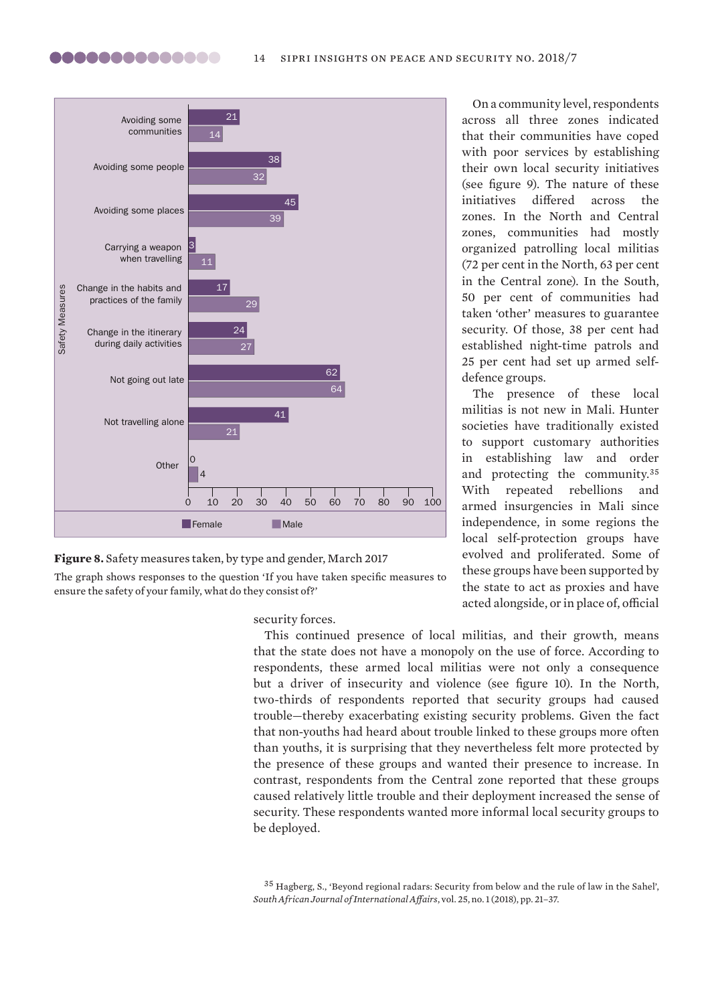



The graph shows responses to the question 'If you have taken specific measures to ensure the safety of your family, what do they consist of?'

security forces.

This continued presence of local militias, and their growth, means that the state does not have a monopoly on the use of force. According to respondents, these armed local militias were not only a consequence but a driver of insecurity and violence (see figure 10). In the North, two-thirds of respondents reported that security groups had caused trouble—thereby exacerbating existing security problems. Given the fact that non-youths had heard about trouble linked to these groups more often than youths, it is surprising that they nevertheless felt more protected by the presence of these groups and wanted their presence to increase. In contrast, respondents from the Central zone reported that these groups caused relatively little trouble and their deployment increased the sense of security. These respondents wanted more informal local security groups to be deployed.

On a community level, respondents across all three zones indicated that their communities have coped with poor services by establishing their own local security initiatives (see figure 9). The nature of these initiatives differed across the zones. In the North and Central zones, communities had mostly organized patrolling local militias (72 per cent in the North, 63 per cent in the Central zone). In the South, 50 per cent of communities had taken 'other' measures to guarantee security. Of those, 38 per cent had established night-time patrols and 25 per cent had set up armed selfdefence groups.

The presence of these local militias is not new in Mali. Hunter societies have traditionally existed to support customary authorities in establishing law and order and protecting the community.<sup>35</sup> With repeated rebellions and armed insurgencies in Mali since independence, in some regions the local self-protection groups have evolved and proliferated. Some of these groups have been supported by the state to act as proxies and have acted alongside, or in place of, official

<sup>35</sup> Hagberg, S., ['Beyond regional radars: Security from below and the rule of law in the Sahel](https://doi.org/10.1080/10220461.2018.1417903)', *South African Journal of International Affairs*, vol. 25, no. 1 (2018), pp. 21–37.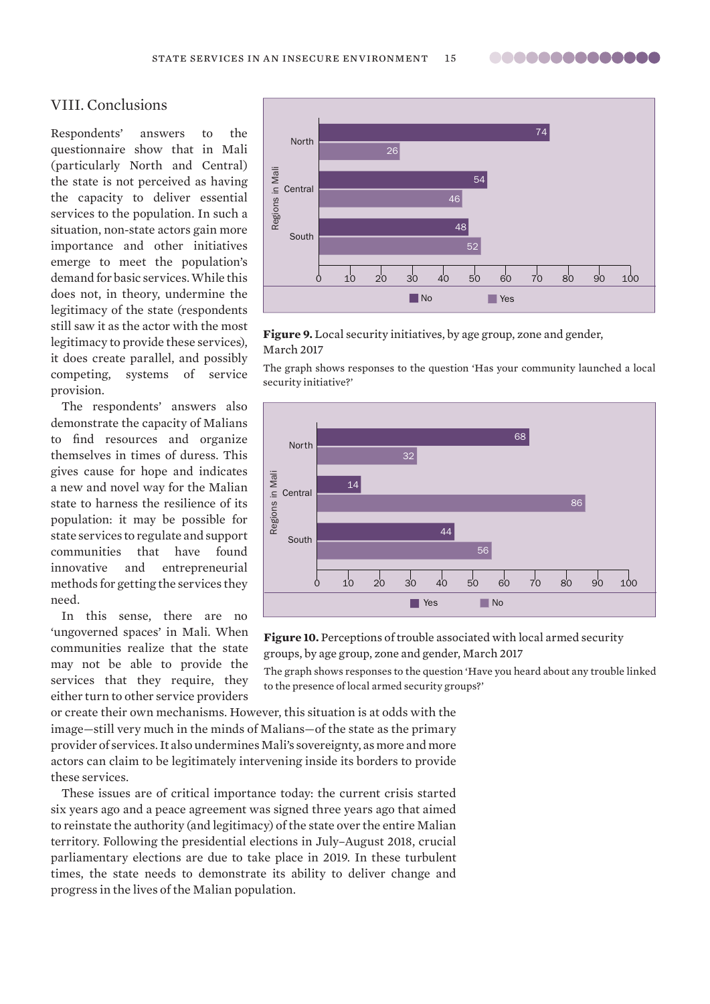..............

# VIII. Conclusions

Respondents' answers to the questionnaire show that in Mali (particularly North and Central) the state is not perceived as having the capacity to deliver essential services to the population. In such a situation, non-state actors gain more importance and other initiatives emerge to meet the population's demand for basic services. While this does not, in theory, undermine the legitimacy of the state (respondents still saw it as the actor with the most legitimacy to provide these services), it does create parallel, and possibly competing, systems of service provision.

The respondents' answers also demonstrate the capacity of Malians to find resources and organize themselves in times of duress. This gives cause for hope and indicates a new and novel way for the Malian state to harness the resilience of its population: it may be possible for state services to regulate and support communities that have found innovative and entrepreneurial methods for getting the services they need.

In this sense, there are no 'ungoverned spaces' in Mali. When communities realize that the state may not be able to provide the services that they require, they either turn to other service providers



**Figure 9.** Local security initiatives, by age group, zone and gender, March 2017

The graph shows responses to the question 'Has your community launched a local security initiative?'



**Figure 10.** Perceptions of trouble associated with local armed security groups, by age group, zone and gender, March 2017

The graph shows responses to the question 'Have you heard about any trouble linked to the presence of local armed security groups?'

or create their own mechanisms. However, this situation is at odds with the image—still very much in the minds of Malians—of the state as the primary provider of services. It also undermines Mali's sovereignty, as more and more actors can claim to be legitimately intervening inside its borders to provide these services.

These issues are of critical importance today: the current crisis started six years ago and a peace agreement was signed three years ago that aimed to reinstate the authority (and legitimacy) of the state over the entire Malian territory. Following the presidential elections in July–August 2018, crucial parliamentary elections are due to take place in 2019. In these turbulent times, the state needs to demonstrate its ability to deliver change and progress in the lives of the Malian population.